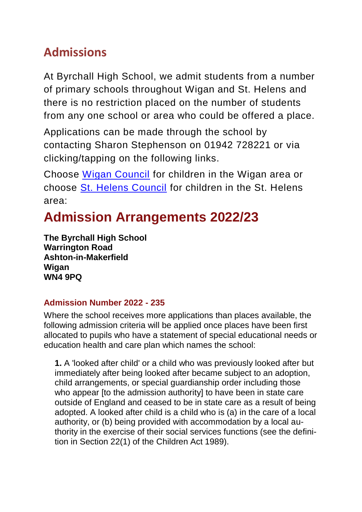# **Admissions**

At Byrchall High School, we admit students from a number of primary schools throughout Wigan and St. Helens and there is no restriction placed on the number of students from any one school or area who could be offered a place.

Applications can be made through the school by contacting Sharon Stephenson on 01942 728221 or via clicking/tapping on the following links.

Choose [Wigan Council](https://www.wigan.gov.uk/Resident/Education/Schools/School-Admissions/Secondary-schools.aspx) for children in the Wigan area or choose [St. Helens Council](https://www.sthelens.gov.uk/schools-education/school-admissions/secondary-schools/) for children in the St. Helens area:

# **Admission Arrangements 2022/23**

**The Byrchall High School Warrington Road Ashton-in-Makerfield Wigan WN4 9PQ**

# **Admission Number 2022 - 235**

Where the school receives more applications than places available, the following admission criteria will be applied once places have been first allocated to pupils who have a statement of special educational needs or education health and care plan which names the school:

**1.** A 'looked after child' or a child who was previously looked after but immediately after being looked after became subject to an adoption, child arrangements, or special guardianship order including those who appear [to the admission authority] to have been in state care outside of England and ceased to be in state care as a result of being adopted. A looked after child is a child who is (a) in the care of a local authority, or (b) being provided with accommodation by a local authority in the exercise of their social services functions (see the definition in Section 22(1) of the Children Act 1989).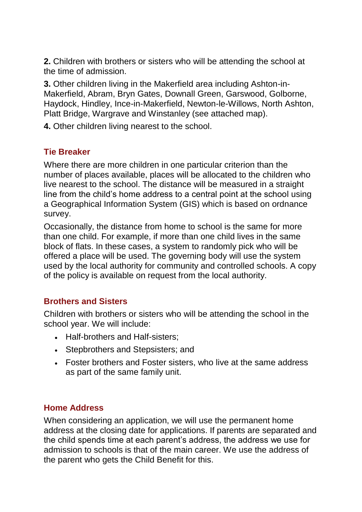**2.** Children with brothers or sisters who will be attending the school at the time of admission.

**3.** Other children living in the Makerfield area including Ashton-in-Makerfield, Abram, Bryn Gates, Downall Green, Garswood, Golborne, Haydock, Hindley, Ince-in-Makerfield, Newton-le-Willows, North Ashton, Platt Bridge, Wargrave and Winstanley (see attached map).

**4.** Other children living nearest to the school.

### **Tie Breaker**

Where there are more children in one particular criterion than the number of places available, places will be allocated to the children who live nearest to the school. The distance will be measured in a straight line from the child's home address to a central point at the school using a Geographical Information System (GIS) which is based on ordnance survey.

Occasionally, the distance from home to school is the same for more than one child. For example, if more than one child lives in the same block of flats. In these cases, a system to randomly pick who will be offered a place will be used. The governing body will use the system used by the local authority for community and controlled schools. A copy of the policy is available on request from the local authority.

### **Brothers and Sisters**

Children with brothers or sisters who will be attending the school in the school year. We will include:

- Half-brothers and Half-sisters;
- Stepbrothers and Stepsisters; and
- Foster brothers and Foster sisters, who live at the same address as part of the same family unit.

### **Home Address**

When considering an application, we will use the permanent home address at the closing date for applications. If parents are separated and the child spends time at each parent's address, the address we use for admission to schools is that of the main career. We use the address of the parent who gets the Child Benefit for this.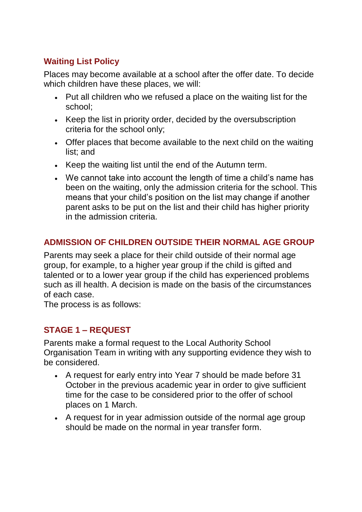# **Waiting List Policy**

Places may become available at a school after the offer date. To decide which children have these places, we will:

- Put all children who we refused a place on the waiting list for the school;
- Keep the list in priority order, decided by the oversubscription criteria for the school only;
- Offer places that become available to the next child on the waiting list; and
- Keep the waiting list until the end of the Autumn term.
- We cannot take into account the length of time a child's name has been on the waiting, only the admission criteria for the school. This means that your child's position on the list may change if another parent asks to be put on the list and their child has higher priority in the admission criteria.

# **ADMISSION OF CHILDREN OUTSIDE THEIR NORMAL AGE GROUP**

Parents may seek a place for their child outside of their normal age group, for example, to a higher year group if the child is gifted and talented or to a lower year group if the child has experienced problems such as ill health. A decision is made on the basis of the circumstances of each case.

The process is as follows:

# **STAGE 1 – REQUEST**

Parents make a formal request to the Local Authority School Organisation Team in writing with any supporting evidence they wish to be considered.

- A request for early entry into Year 7 should be made before 31 October in the previous academic year in order to give sufficient time for the case to be considered prior to the offer of school places on 1 March.
- A request for in year admission outside of the normal age group should be made on the normal in year transfer form.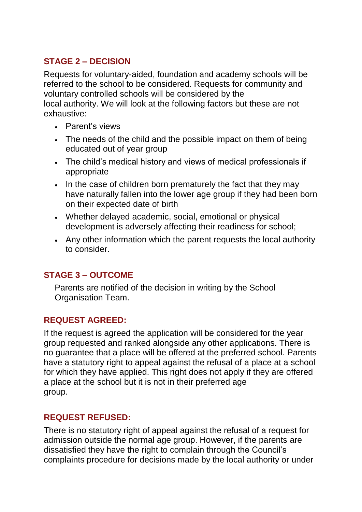# **STAGE 2 – DECISION**

Requests for voluntary-aided, foundation and academy schools will be referred to the school to be considered. Requests for community and voluntary controlled schools will be considered by the local authority. We will look at the following factors but these are not exhaustive:

- Parent's views
- The needs of the child and the possible impact on them of being educated out of year group
- The child's medical history and views of medical professionals if appropriate
- In the case of children born prematurely the fact that they may have naturally fallen into the lower age group if they had been born on their expected date of birth
- Whether delayed academic, social, emotional or physical development is adversely affecting their readiness for school;
- Any other information which the parent requests the local authority to consider.

# **STAGE 3 – OUTCOME**

Parents are notified of the decision in writing by the School Organisation Team.

# **REQUEST AGREED:**

If the request is agreed the application will be considered for the year group requested and ranked alongside any other applications. There is no guarantee that a place will be offered at the preferred school. Parents have a statutory right to appeal against the refusal of a place at a school for which they have applied. This right does not apply if they are offered a place at the school but it is not in their preferred age group.

# **REQUEST REFUSED:**

There is no statutory right of appeal against the refusal of a request for admission outside the normal age group. However, if the parents are dissatisfied they have the right to complain through the Council's complaints procedure for decisions made by the local authority or under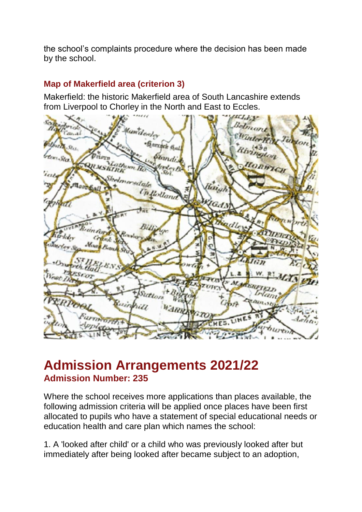the school's complaints procedure where the decision has been made by the school.

# **Map of Makerfield area (criterion 3)**

Makerfield: the historic Makerfield area of South Lancashire extends from Liverpool to Chorley in the North and East to Eccles.



# **Admission Arrangements 2021/22 Admission Number: 235**

Where the school receives more applications than places available, the following admission criteria will be applied once places have been first allocated to pupils who have a statement of special educational needs or education health and care plan which names the school:

1. A 'looked after child' or a child who was previously looked after but immediately after being looked after became subject to an adoption,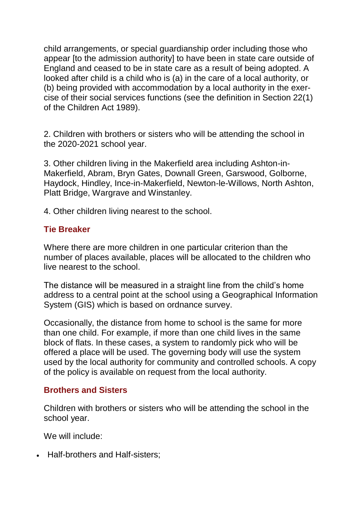child arrangements, or special guardianship order including those who appear [to the admission authority] to have been in state care outside of England and ceased to be in state care as a result of being adopted. A looked after child is a child who is (a) in the care of a local authority, or (b) being provided with accommodation by a local authority in the exercise of their social services functions (see the definition in Section 22(1) of the Children Act 1989).

2. Children with brothers or sisters who will be attending the school in the 2020-2021 school year.

3. Other children living in the Makerfield area including Ashton-in-Makerfield, Abram, Bryn Gates, Downall Green, Garswood, Golborne, Haydock, Hindley, Ince-in-Makerfield, Newton-le-Willows, North Ashton, Platt Bridge, Wargrave and Winstanley.

4. Other children living nearest to the school.

### **Tie Breaker**

Where there are more children in one particular criterion than the number of places available, places will be allocated to the children who live nearest to the school.

The distance will be measured in a straight line from the child's home address to a central point at the school using a Geographical Information System (GIS) which is based on ordnance survey.

Occasionally, the distance from home to school is the same for more than one child. For example, if more than one child lives in the same block of flats. In these cases, a system to randomly pick who will be offered a place will be used. The governing body will use the system used by the local authority for community and controlled schools. A copy of the policy is available on request from the local authority.

### **Brothers and Sisters**

Children with brothers or sisters who will be attending the school in the school year.

We will include:

• Half-brothers and Half-sisters;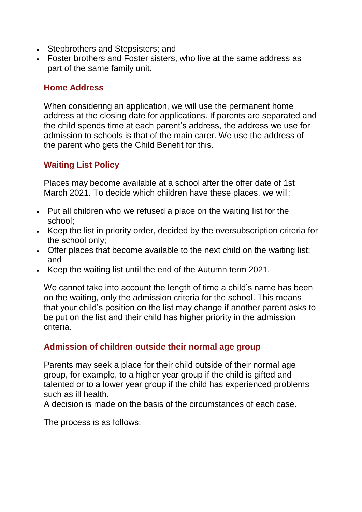- Stepbrothers and Stepsisters; and
- Foster brothers and Foster sisters, who live at the same address as part of the same family unit.

### **Home Address**

When considering an application, we will use the permanent home address at the closing date for applications. If parents are separated and the child spends time at each parent's address, the address we use for admission to schools is that of the main carer. We use the address of the parent who gets the Child Benefit for this.

# **Waiting List Policy**

Places may become available at a school after the offer date of 1st March 2021. To decide which children have these places, we will:

- Put all children who we refused a place on the waiting list for the school;
- Keep the list in priority order, decided by the oversubscription criteria for the school only;
- Offer places that become available to the next child on the waiting list; and
- Keep the waiting list until the end of the Autumn term 2021.

We cannot take into account the length of time a child's name has been on the waiting, only the admission criteria for the school. This means that your child's position on the list may change if another parent asks to be put on the list and their child has higher priority in the admission criteria.

### **Admission of children outside their normal age group**

Parents may seek a place for their child outside of their normal age group, for example, to a higher year group if the child is gifted and talented or to a lower year group if the child has experienced problems such as ill health.

A decision is made on the basis of the circumstances of each case.

The process is as follows: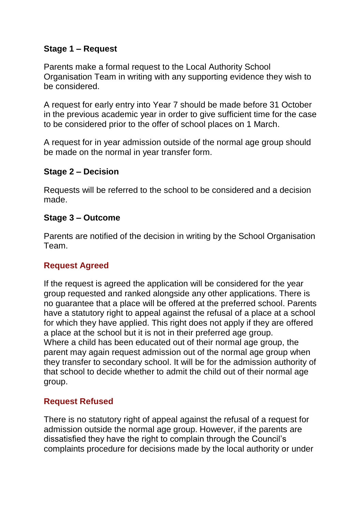# **Stage 1 – Request**

Parents make a formal request to the Local Authority School Organisation Team in writing with any supporting evidence they wish to be considered.

A request for early entry into Year 7 should be made before 31 October in the previous academic year in order to give sufficient time for the case to be considered prior to the offer of school places on 1 March.

A request for in year admission outside of the normal age group should be made on the normal in year transfer form.

### **Stage 2 – Decision**

Requests will be referred to the school to be considered and a decision made.

#### **Stage 3 – Outcome**

Parents are notified of the decision in writing by the School Organisation Team.

### **Request Agreed**

If the request is agreed the application will be considered for the year group requested and ranked alongside any other applications. There is no guarantee that a place will be offered at the preferred school. Parents have a statutory right to appeal against the refusal of a place at a school for which they have applied. This right does not apply if they are offered a place at the school but it is not in their preferred age group. Where a child has been educated out of their normal age group, the parent may again request admission out of the normal age group when they transfer to secondary school. It will be for the admission authority of that school to decide whether to admit the child out of their normal age group.

# **Request Refused**

There is no statutory right of appeal against the refusal of a request for admission outside the normal age group. However, if the parents are dissatisfied they have the right to complain through the Council's complaints procedure for decisions made by the local authority or under